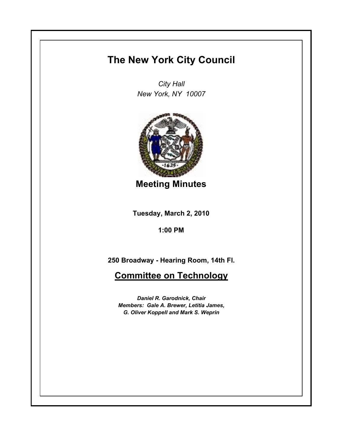## **The New York City Council**

*City Hall New York, NY 10007*



**Meeting Minutes**

**Tuesday, March 2, 2010**

**1:00 PM**

**250 Broadway - Hearing Room, 14th Fl.**

**Committee on Technology**

*Daniel R. Garodnick, Chair Members: Gale A. Brewer, Letitia James, G. Oliver Koppell and Mark S. Weprin*